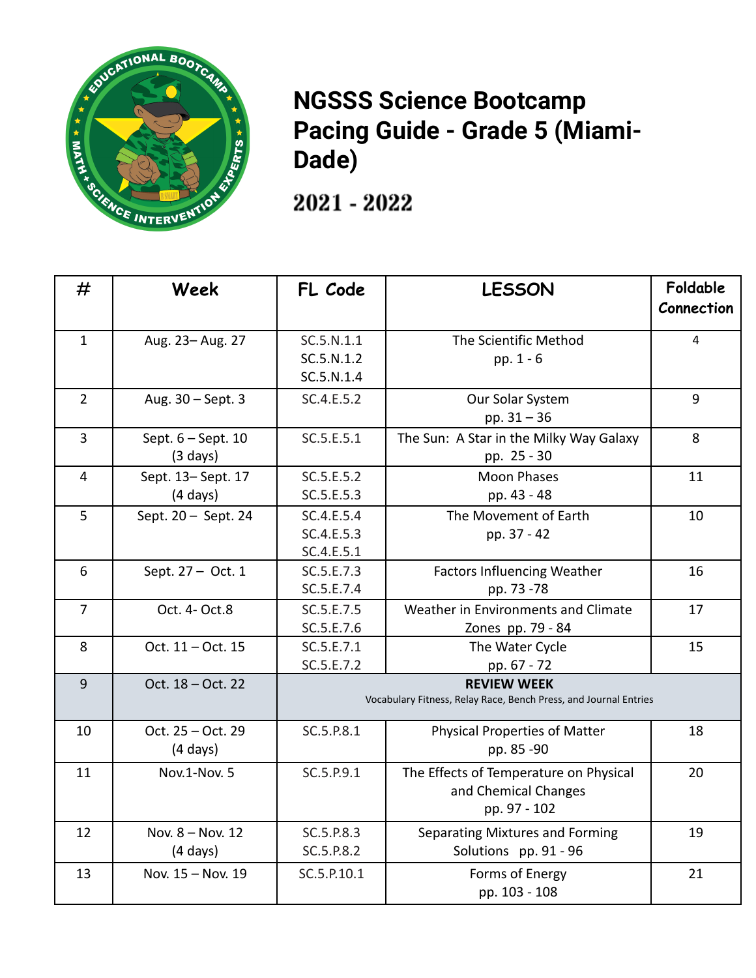

## **NGSSS Science Bootcamp Pacing Guide - Grade 5 (Miami-Dade)**

2021 - 2022

| #              | Week                | FL Code     | <b>LESSON</b>                                                    | Foldable   |
|----------------|---------------------|-------------|------------------------------------------------------------------|------------|
|                |                     |             |                                                                  | Connection |
| $\mathbf{1}$   | Aug. 23- Aug. 27    | SC.5.N.1.1  | The Scientific Method                                            | 4          |
|                |                     | SC.5.N.1.2  | pp. 1 - 6                                                        |            |
|                |                     | SC.5.N.1.4  |                                                                  |            |
| $\overline{2}$ | Aug. 30 - Sept. 3   | SC.4.E.5.2  | Our Solar System                                                 | 9          |
|                |                     |             | pp. $31 - 36$                                                    |            |
| $\overline{3}$ | Sept. 6 - Sept. 10  | SC.5.E.5.1  | The Sun: A Star in the Milky Way Galaxy                          | 8          |
|                | $(3 \text{ days})$  |             | pp. 25 - 30                                                      |            |
| $\overline{4}$ | Sept. 13-Sept. 17   | SC.5.E.5.2  | <b>Moon Phases</b>                                               | 11         |
|                | $(4 \text{ days})$  | SC.5.E.5.3  | pp. 43 - 48                                                      |            |
| 5              | Sept. 20 - Sept. 24 | SC.4.E.5.4  | The Movement of Earth                                            | 10         |
|                |                     | SC.4.E.5.3  | pp. 37 - 42                                                      |            |
|                |                     | SC.4.E.5.1  |                                                                  |            |
| 6              | Sept. 27 - Oct. 1   | SC.5.E.7.3  | <b>Factors Influencing Weather</b>                               | 16         |
|                |                     | SC.5.E.7.4  | pp. 73 -78                                                       |            |
| $\overline{7}$ | Oct. 4- Oct.8       | SC.5.E.7.5  | Weather in Environments and Climate                              | 17         |
|                |                     | SC.5.E.7.6  | Zones pp. 79 - 84                                                |            |
| 8              | Oct. 11 - Oct. 15   | SC.5.E.7.1  | The Water Cycle                                                  | 15         |
|                |                     | SC.5.E.7.2  | pp. 67 - 72                                                      |            |
| 9              | Oct. 18 - Oct. 22   |             | <b>REVIEW WEEK</b>                                               |            |
|                |                     |             | Vocabulary Fitness, Relay Race, Bench Press, and Journal Entries |            |
| 10             | Oct. 25 - Oct. 29   | SC.5.P.8.1  | <b>Physical Properties of Matter</b>                             | 18         |
|                | $(4 \text{ days})$  |             | pp. 85 -90                                                       |            |
| 11             | Nov.1-Nov. 5        | SC.5.P.9.1  | The Effects of Temperature on Physical                           | 20         |
|                |                     |             | and Chemical Changes                                             |            |
|                |                     |             | pp. 97 - 102                                                     |            |
| 12             | Nov. 8 - Nov. 12    | SC.5.P.8.3  | Separating Mixtures and Forming                                  | 19         |
|                | $(4 \text{ days})$  | SC.5.P.8.2  | Solutions pp. 91 - 96                                            |            |
| 13             | Nov. 15 - Nov. 19   | SC.5.P.10.1 | Forms of Energy                                                  | 21         |
|                |                     |             | pp. 103 - 108                                                    |            |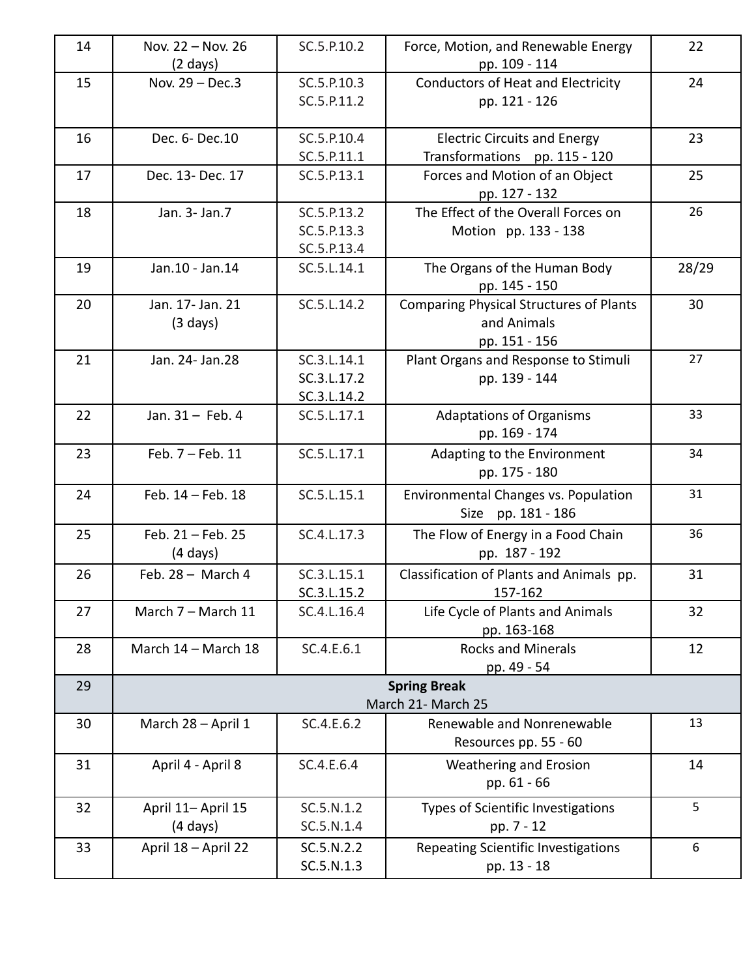| 14 | Nov. 22 - Nov. 26   | SC.5.P.10.2 | Force, Motion, and Renewable Energy             | 22    |
|----|---------------------|-------------|-------------------------------------------------|-------|
|    | (2 days)            |             | pp. 109 - 114                                   |       |
| 15 | Nov. 29 - Dec.3     | SC.5.P.10.3 | <b>Conductors of Heat and Electricity</b>       | 24    |
|    |                     | SC.5.P.11.2 | pp. 121 - 126                                   |       |
|    |                     |             |                                                 |       |
| 16 | Dec. 6- Dec. 10     | SC.5.P.10.4 | <b>Electric Circuits and Energy</b>             | 23    |
|    |                     | SC.5.P.11.1 | Transformations pp. 115 - 120                   |       |
| 17 | Dec. 13- Dec. 17    | SC.5.P.13.1 | Forces and Motion of an Object<br>pp. 127 - 132 | 25    |
| 18 | Jan. 3- Jan. 7      | SC.5.P.13.2 | The Effect of the Overall Forces on             | 26    |
|    |                     | SC.5.P.13.3 | Motion pp. 133 - 138                            |       |
|    |                     | SC.5.P.13.4 |                                                 |       |
| 19 | Jan.10 - Jan.14     | SC.5.L.14.1 | The Organs of the Human Body                    | 28/29 |
|    |                     |             | pp. 145 - 150                                   |       |
| 20 | Jan. 17- Jan. 21    | SC.5.L.14.2 | <b>Comparing Physical Structures of Plants</b>  | 30    |
|    | $(3 \text{ days})$  |             | and Animals                                     |       |
|    |                     |             | pp. 151 - 156                                   |       |
| 21 | Jan. 24- Jan. 28    | SC.3.L.14.1 | Plant Organs and Response to Stimuli            | 27    |
|    |                     | SC.3.L.17.2 | pp. 139 - 144                                   |       |
|    |                     | SC.3.L.14.2 |                                                 |       |
| 22 | Jan. 31 - Feb. 4    | SC.5.L.17.1 | <b>Adaptations of Organisms</b>                 | 33    |
|    |                     |             | pp. 169 - 174                                   |       |
| 23 | Feb. 7 - Feb. 11    | SC.5.L.17.1 | Adapting to the Environment                     | 34    |
|    |                     |             | pp. 175 - 180                                   |       |
| 24 | Feb. 14 - Feb. 18   | SC.5.L.15.1 | Environmental Changes vs. Population            | 31    |
|    |                     |             | Size pp. 181 - 186                              |       |
| 25 | Feb. 21 - Feb. 25   | SC.4.L.17.3 | The Flow of Energy in a Food Chain              | 36    |
|    | (4 days)            |             | pp. 187 - 192                                   |       |
| 26 | Feb. $28 -$ March 4 | SC.3.L.15.1 | Classification of Plants and Animals pp.        | 31    |
|    |                     | SC.3.L.15.2 | 157-162                                         |       |
| 27 | March 7 - March 11  | SC.4.L.16.4 | Life Cycle of Plants and Animals                | 32    |
|    |                     |             | pp. 163-168                                     |       |
| 28 | March 14 - March 18 | SC.4.E.6.1  | <b>Rocks and Minerals</b>                       | 12    |
|    |                     |             | pp. 49 - 54                                     |       |
| 29 |                     |             | <b>Spring Break</b>                             |       |
|    |                     |             | March 21- March 25                              |       |
| 30 | March 28 - April 1  | SC.4.E.6.2  | Renewable and Nonrenewable                      | 13    |
|    |                     |             | Resources pp. 55 - 60                           |       |
| 31 | April 4 - April 8   | SC.4.E.6.4  | Weathering and Erosion                          | 14    |
|    |                     |             | pp. 61 - 66                                     |       |
| 32 | April 11- April 15  | SC.5.N.1.2  | Types of Scientific Investigations              | 5     |
|    | $(4 \text{ days})$  | SC.5.N.1.4  | pp. 7 - 12                                      |       |
| 33 | April 18 - April 22 | SC.5.N.2.2  | Repeating Scientific Investigations             | 6     |
|    |                     | SC.5.N.1.3  | pp. 13 - 18                                     |       |